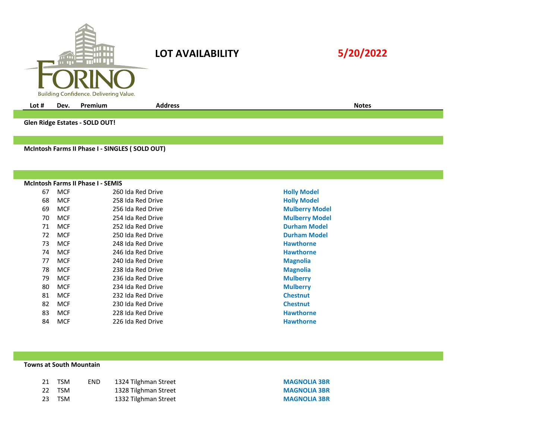| m                                      |
|----------------------------------------|
| Building Confidence. Delivering Value. |

## **LOT AVAILABILITY**

|--|--|

**Lot # Dev. Premium Address Notes**

**Glen Ridge Estates - SOLD OUT!**

**McIntosh Farms II Phase I - SINGLES ( SOLD OUT)**

## **McIntosh Farms II Phase I - SEMIS**

| 67 | <b>MCF</b> | 260 Ida Red Drive | <b>Holly Mode</b> |
|----|------------|-------------------|-------------------|
| 68 | <b>MCF</b> | 258 Ida Red Drive | <b>Holly Mode</b> |
| 69 | <b>MCF</b> | 256 Ida Red Drive | <b>Mulberry N</b> |
| 70 | <b>MCF</b> | 254 Ida Red Drive | <b>Mulberry N</b> |
| 71 | <b>MCF</b> | 252 Ida Red Drive | <b>Durham Mo</b>  |
| 72 | <b>MCF</b> | 250 Ida Red Drive | <b>Durham Mo</b>  |
| 73 | <b>MCF</b> | 248 Ida Red Drive | <b>Hawthorne</b>  |
| 74 | <b>MCF</b> | 246 Ida Red Drive | <b>Hawthorne</b>  |
| 77 | <b>MCF</b> | 240 Ida Red Drive | <b>Magnolia</b>   |
| 78 | <b>MCF</b> | 238 Ida Red Drive | <b>Magnolia</b>   |
| 79 | <b>MCF</b> | 236 Ida Red Drive | <b>Mulberry</b>   |
| 80 | <b>MCF</b> | 234 Ida Red Drive | <b>Mulberry</b>   |
| 81 | <b>MCF</b> | 232 Ida Red Drive | <b>Chestnut</b>   |
| 82 | <b>MCF</b> | 230 Ida Red Drive | <b>Chestnut</b>   |
| 83 | <b>MCF</b> | 228 Ida Red Drive | <b>Hawthorne</b>  |
| 84 | MCF        | 226 Ida Red Drive | Hawthorne         |

**Holly Model Holly Model Mulberry Model Mulberry Model Durham Model Durham Model Hawthorne Magnolia Mulberry Mulberry Hawthorne Hawthorne** 

## **Towns at South Mountain**

| 21 | <b>TSM</b> | END. | 1324 Tilghman Street |
|----|------------|------|----------------------|
|    | 22 TSM     |      | 1328 Tilghman Street |
| 23 | TSM        |      | 1332 Tilghman Street |

**MAGNOLIA 3BR MAGNOLIA 3BR MAGNOLIA 3BR**